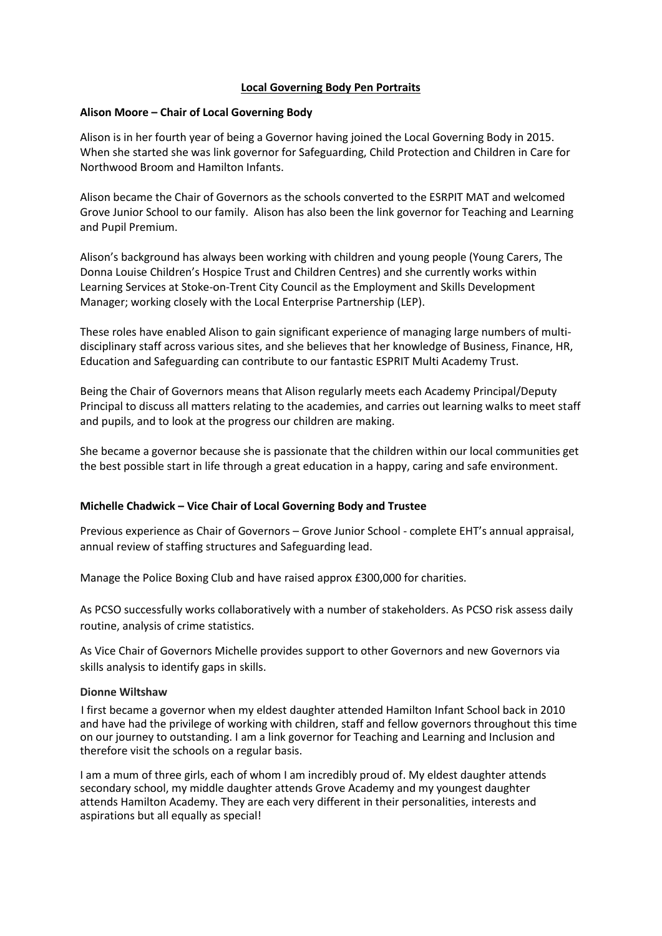## **Local Governing Body Pen Portraits**

## **Alison Moore – Chair of Local Governing Body**

Alison is in her fourth year of being a Governor having joined the Local Governing Body in 2015. When she started she was link governor for Safeguarding, Child Protection and Children in Care for Northwood Broom and Hamilton Infants.

Alison became the Chair of Governors as the schools converted to the ESRPIT MAT and welcomed Grove Junior School to our family. Alison has also been the link governor for Teaching and Learning and Pupil Premium.

Alison's background has always been working with children and young people (Young Carers, The Donna Louise Children's Hospice Trust and Children Centres) and she currently works within Learning Services at Stoke-on-Trent City Council as the Employment and Skills Development Manager; working closely with the Local Enterprise Partnership (LEP).

These roles have enabled Alison to gain significant experience of managing large numbers of multidisciplinary staff across various sites, and she believes that her knowledge of Business, Finance, HR, Education and Safeguarding can contribute to our fantastic ESPRIT Multi Academy Trust.

Being the Chair of Governors means that Alison regularly meets each Academy Principal/Deputy Principal to discuss all matters relating to the academies, and carries out learning walks to meet staff and pupils, and to look at the progress our children are making.

She became a governor because she is passionate that the children within our local communities get the best possible start in life through a great education in a happy, caring and safe environment.

## **Michelle Chadwick – Vice Chair of Local Governing Body and Trustee**

Previous experience as Chair of Governors – Grove Junior School - complete EHT's annual appraisal, annual review of staffing structures and Safeguarding lead.

Manage the Police Boxing Club and have raised approx £300,000 for charities.

As PCSO successfully works collaboratively with a number of stakeholders. As PCSO risk assess daily routine, analysis of crime statistics.

As Vice Chair of Governors Michelle provides support to other Governors and new Governors via skills analysis to identify gaps in skills.

#### **Dionne Wiltshaw**

I first became a governor when my eldest daughter attended Hamilton Infant School back in 2010 and have had the privilege of working with children, staff and fellow governors throughout this time on our journey to outstanding. I am a link governor for Teaching and Learning and Inclusion and therefore visit the schools on a regular basis.

I am a mum of three girls, each of whom I am incredibly proud of. My eldest daughter attends secondary school, my middle daughter attends Grove Academy and my youngest daughter attends Hamilton Academy. They are each very different in their personalities, interests and aspirations but all equally as special!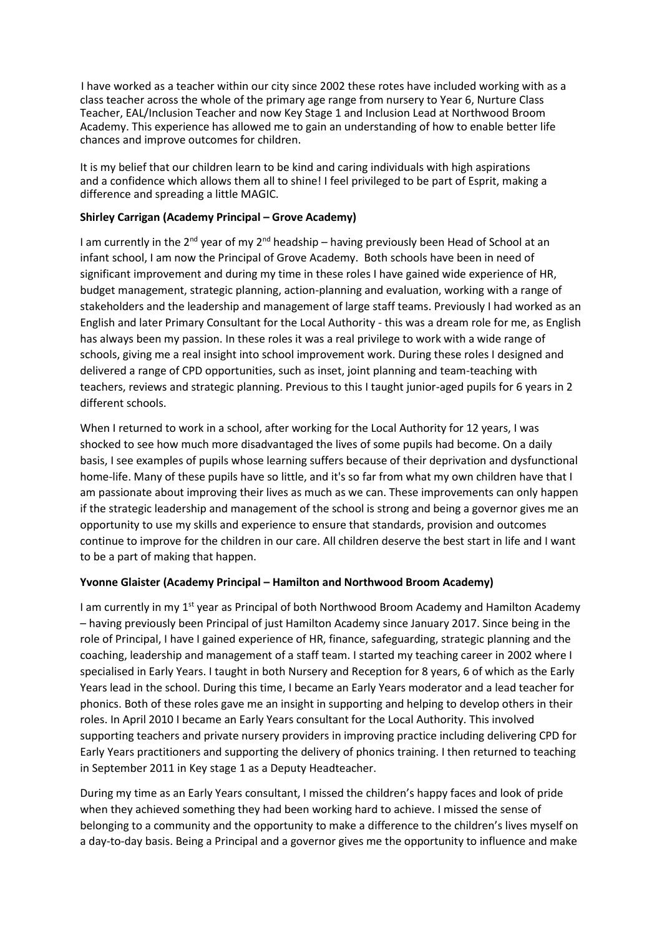I have worked as a teacher within our city since 2002 these rotes have included working with as a class teacher across the whole of the primary age range from nursery to Year 6, Nurture Class Teacher, EAL/Inclusion Teacher and now Key Stage 1 and Inclusion Lead at Northwood Broom Academy. This experience has allowed me to gain an understanding of how to enable better life chances and improve outcomes for children.

It is my belief that our children learn to be kind and caring individuals with high aspirations and a confidence which allows them all to shine! I feel privileged to be part of Esprit, making a difference and spreading a little MAGIC.

## **Shirley Carrigan (Academy Principal – Grove Academy)**

I am currently in the  $2^{nd}$  year of my  $2^{nd}$  headship – having previously been Head of School at an infant school, I am now the Principal of Grove Academy. Both schools have been in need of significant improvement and during my time in these roles I have gained wide experience of HR, budget management, strategic planning, action-planning and evaluation, working with a range of stakeholders and the leadership and management of large staff teams. Previously I had worked as an English and later Primary Consultant for the Local Authority - this was a dream role for me, as English has always been my passion. In these roles it was a real privilege to work with a wide range of schools, giving me a real insight into school improvement work. During these roles I designed and delivered a range of CPD opportunities, such as inset, joint planning and team-teaching with teachers, reviews and strategic planning. Previous to this I taught junior-aged pupils for 6 years in 2 different schools.

When I returned to work in a school, after working for the Local Authority for 12 years, I was shocked to see how much more disadvantaged the lives of some pupils had become. On a daily basis, I see examples of pupils whose learning suffers because of their deprivation and dysfunctional home-life. Many of these pupils have so little, and it's so far from what my own children have that I am passionate about improving their lives as much as we can. These improvements can only happen if the strategic leadership and management of the school is strong and being a governor gives me an opportunity to use my skills and experience to ensure that standards, provision and outcomes continue to improve for the children in our care. All children deserve the best start in life and I want to be a part of making that happen.

# **Yvonne Glaister (Academy Principal – Hamilton and Northwood Broom Academy)**

I am currently in my 1st year as Principal of both Northwood Broom Academy and Hamilton Academy – having previously been Principal of just Hamilton Academy since January 2017. Since being in the role of Principal, I have I gained experience of HR, finance, safeguarding, strategic planning and the coaching, leadership and management of a staff team. I started my teaching career in 2002 where I specialised in Early Years. I taught in both Nursery and Reception for 8 years, 6 of which as the Early Years lead in the school. During this time, I became an Early Years moderator and a lead teacher for phonics. Both of these roles gave me an insight in supporting and helping to develop others in their roles. In April 2010 I became an Early Years consultant for the Local Authority. This involved supporting teachers and private nursery providers in improving practice including delivering CPD for Early Years practitioners and supporting the delivery of phonics training. I then returned to teaching in September 2011 in Key stage 1 as a Deputy Headteacher.

During my time as an Early Years consultant, I missed the children's happy faces and look of pride when they achieved something they had been working hard to achieve. I missed the sense of belonging to a community and the opportunity to make a difference to the children's lives myself on a day-to-day basis. Being a Principal and a governor gives me the opportunity to influence and make